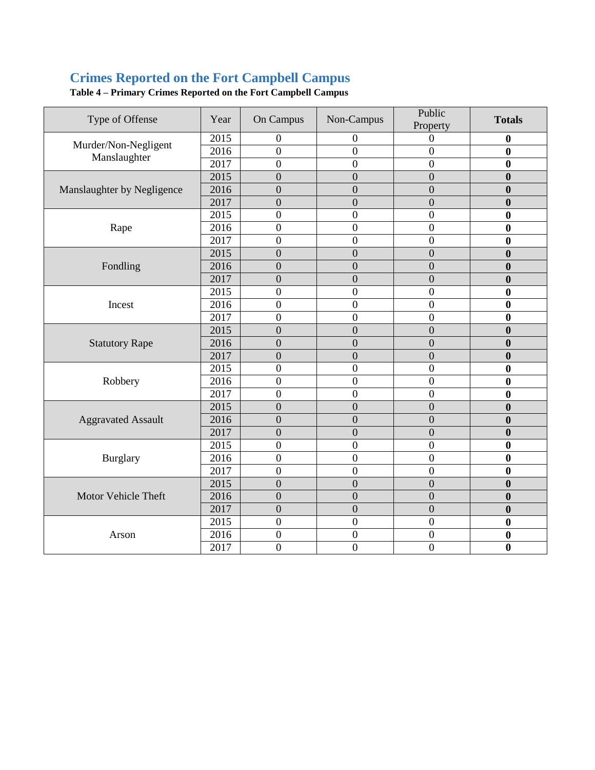# **Crimes Reported on the Fort Campbell Campus**

| Type of Offense                      | Year | On Campus        | Non-Campus       | Public<br>Property | <b>Totals</b>    |
|--------------------------------------|------|------------------|------------------|--------------------|------------------|
| Murder/Non-Negligent<br>Manslaughter | 2015 | $\overline{0}$   | 0                | $\Omega$           | $\bf{0}$         |
|                                      | 2016 | $\overline{0}$   | $\boldsymbol{0}$ | $\mathbf{0}$       | $\boldsymbol{0}$ |
|                                      | 2017 | $\overline{0}$   | $\overline{0}$   | $\overline{0}$     | $\bf{0}$         |
|                                      | 2015 | $\overline{0}$   | $\overline{0}$   | $\overline{0}$     | $\bf{0}$         |
| Manslaughter by Negligence           | 2016 | $\overline{0}$   | $\overline{0}$   | $\overline{0}$     | $\boldsymbol{0}$ |
|                                      | 2017 | $\overline{0}$   | $\overline{0}$   | $\overline{0}$     | $\bf{0}$         |
|                                      | 2015 | $\boldsymbol{0}$ | $\boldsymbol{0}$ | $\boldsymbol{0}$   | $\bf{0}$         |
| Rape                                 | 2016 | $\overline{0}$   | $\overline{0}$   | $\boldsymbol{0}$   | 0                |
|                                      | 2017 | $\boldsymbol{0}$ | $\boldsymbol{0}$ | $\boldsymbol{0}$   | $\bf{0}$         |
|                                      | 2015 | $\overline{0}$   | $\overline{0}$   | $\overline{0}$     | $\mathbf{0}$     |
| Fondling                             | 2016 | $\overline{0}$   | $\overline{0}$   | $\overline{0}$     | $\mathbf{0}$     |
|                                      | 2017 | $\overline{0}$   | $\overline{0}$   | $\overline{0}$     | $\bf{0}$         |
|                                      | 2015 | $\overline{0}$   | $\overline{0}$   | $\overline{0}$     | $\bf{0}$         |
| Incest                               | 2016 | $\overline{0}$   | $\overline{0}$   | $\overline{0}$     | $\mathbf{0}$     |
|                                      | 2017 | $\overline{0}$   | $\overline{0}$   | $\overline{0}$     | $\boldsymbol{0}$ |
|                                      | 2015 | $\overline{0}$   | $\overline{0}$   | $\overline{0}$     | $\bf{0}$         |
| <b>Statutory Rape</b>                | 2016 | $\overline{0}$   | $\overline{0}$   | $\overline{0}$     | $\bf{0}$         |
|                                      | 2017 | $\overline{0}$   | $\overline{0}$   | $\overline{0}$     | $\boldsymbol{0}$ |
|                                      | 2015 | $\overline{0}$   | $\overline{0}$   | $\overline{0}$     | $\bf{0}$         |
| Robbery                              | 2016 | $\overline{0}$   | $\overline{0}$   | $\overline{0}$     | $\boldsymbol{0}$ |
|                                      | 2017 | $\overline{0}$   | $\overline{0}$   | $\overline{0}$     | $\mathbf{0}$     |
|                                      | 2015 | $\overline{0}$   | $\overline{0}$   | $\overline{0}$     | $\bf{0}$         |
| <b>Aggravated Assault</b>            | 2016 | $\overline{0}$   | $\overline{0}$   | $\overline{0}$     | $\mathbf{0}$     |
|                                      | 2017 | $\boldsymbol{0}$ | $\boldsymbol{0}$ | $\boldsymbol{0}$   | $\bf{0}$         |
| Burglary                             | 2015 | $\overline{0}$   | $\overline{0}$   | $\overline{0}$     | $\bf{0}$         |
|                                      | 2016 | $\overline{0}$   | $\overline{0}$   | $\overline{0}$     | $\bf{0}$         |
|                                      | 2017 | $\overline{0}$   | $\overline{0}$   | $\overline{0}$     | $\bf{0}$         |
| Motor Vehicle Theft                  | 2015 | $\overline{0}$   | $\overline{0}$   | $\mathbf{0}$       | $\boldsymbol{0}$ |
|                                      | 2016 | $\overline{0}$   | $\overline{0}$   | $\overline{0}$     | $\boldsymbol{0}$ |
|                                      | 2017 | $\boldsymbol{0}$ | $\overline{0}$   | $\mathbf{0}$       | $\boldsymbol{0}$ |
| Arson                                | 2015 | $\overline{0}$   | $\boldsymbol{0}$ | $\overline{0}$     | $\boldsymbol{0}$ |
|                                      | 2016 | $\boldsymbol{0}$ | $\boldsymbol{0}$ | $\boldsymbol{0}$   | $\boldsymbol{0}$ |
|                                      | 2017 | $\overline{0}$   | $\overline{0}$   | $\boldsymbol{0}$   | $\bf{0}$         |

**Table 4 – Primary Crimes Reported on the Fort Campbell Campus**